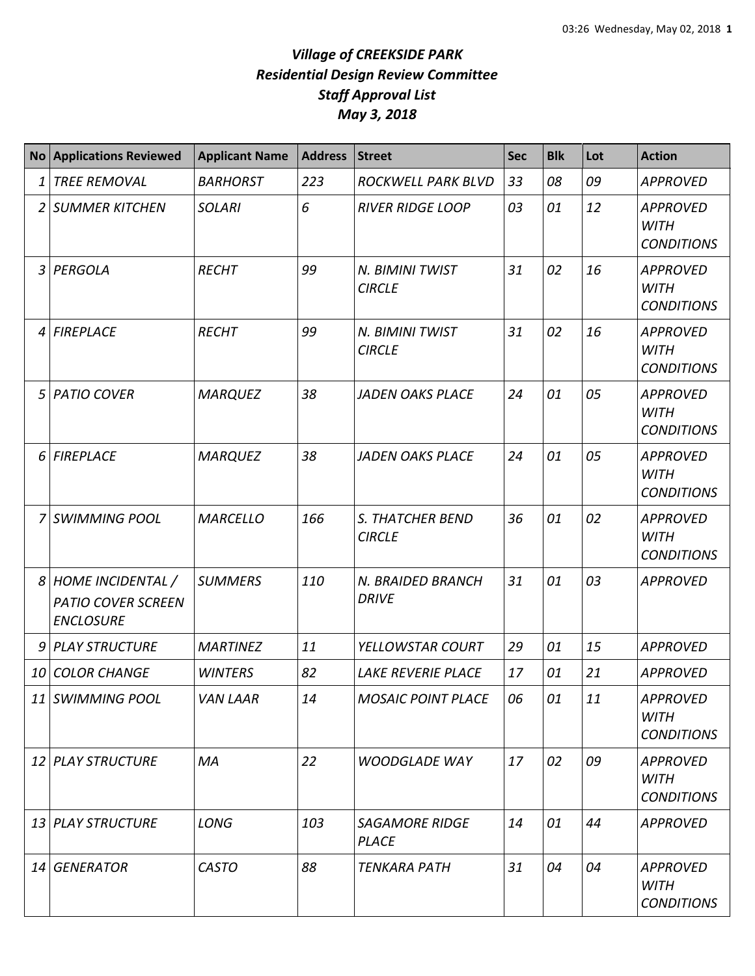| <b>No</b> | <b>Applications Reviewed</b>                                       | <b>Applicant Name</b> | <b>Address</b> | <b>Street</b>                         | Sec | <b>Blk</b> | Lot | <b>Action</b>                                       |
|-----------|--------------------------------------------------------------------|-----------------------|----------------|---------------------------------------|-----|------------|-----|-----------------------------------------------------|
| 1         | <b>TREE REMOVAL</b>                                                | <b>BARHORST</b>       | 223            | ROCKWELL PARK BLVD                    | 33  | 08         | 09  | <b>APPROVED</b>                                     |
| 2         | <b>SUMMER KITCHEN</b>                                              | <b>SOLARI</b>         | 6              | <b>RIVER RIDGE LOOP</b>               | 03  | 01         | 12  | <b>APPROVED</b><br><b>WITH</b><br><b>CONDITIONS</b> |
| 3         | PERGOLA                                                            | <b>RECHT</b>          | 99             | N. BIMINI TWIST<br><b>CIRCLE</b>      | 31  | 02         | 16  | <b>APPROVED</b><br><b>WITH</b><br><b>CONDITIONS</b> |
| 4         | <b>FIREPLACE</b>                                                   | <b>RECHT</b>          | 99             | N. BIMINI TWIST<br><b>CIRCLE</b>      | 31  | 02         | 16  | <b>APPROVED</b><br><b>WITH</b><br><b>CONDITIONS</b> |
| 5         | <b>PATIO COVER</b>                                                 | <b>MARQUEZ</b>        | 38             | <b>JADEN OAKS PLACE</b>               | 24  | 01         | 05  | <b>APPROVED</b><br><b>WITH</b><br><b>CONDITIONS</b> |
| 6         | <b>FIREPLACE</b>                                                   | <b>MARQUEZ</b>        | 38             | <b>JADEN OAKS PLACE</b>               | 24  | 01         | 05  | <b>APPROVED</b><br><b>WITH</b><br><b>CONDITIONS</b> |
| 7         | <b>SWIMMING POOL</b>                                               | <b>MARCELLO</b>       | 166            | S. THATCHER BEND<br><b>CIRCLE</b>     | 36  | 01         | 02  | <b>APPROVED</b><br><b>WITH</b><br><b>CONDITIONS</b> |
| 8         | HOME INCIDENTAL /<br><b>PATIO COVER SCREEN</b><br><b>ENCLOSURE</b> | <b>SUMMERS</b>        | 110            | N. BRAIDED BRANCH<br><b>DRIVE</b>     | 31  | 01         | 03  | <b>APPROVED</b>                                     |
| 9         | <b>PLAY STRUCTURE</b>                                              | <b>MARTINEZ</b>       | 11             | YELLOWSTAR COURT                      | 29  | 01         | 15  | <b>APPROVED</b>                                     |
| 10        | <b>COLOR CHANGE</b>                                                | <b>WINTERS</b>        | 82             | LAKE REVERIE PLACE                    | 17  | 01         | 21  | <b>APPROVED</b>                                     |
|           | 11 SWIMMING POOL                                                   | <b>VAN LAAR</b>       | 14             | <b>MOSAIC POINT PLACE</b>             | 06  | 01         | 11  | <b>APPROVED</b><br><b>WITH</b><br><b>CONDITIONS</b> |
|           | 12 PLAY STRUCTURE                                                  | MA                    | 22             | <b>WOODGLADE WAY</b>                  | 17  | 02         | 09  | <b>APPROVED</b><br><b>WITH</b><br><b>CONDITIONS</b> |
|           | 13 PLAY STRUCTURE                                                  | <b>LONG</b>           | 103            | <b>SAGAMORE RIDGE</b><br><b>PLACE</b> | 14  | 01         | 44  | <b>APPROVED</b>                                     |
|           | 14 GENERATOR                                                       | <b>CASTO</b>          | 88             | <b>TENKARA PATH</b>                   | 31  | 04         | 04  | <b>APPROVED</b><br><b>WITH</b><br><b>CONDITIONS</b> |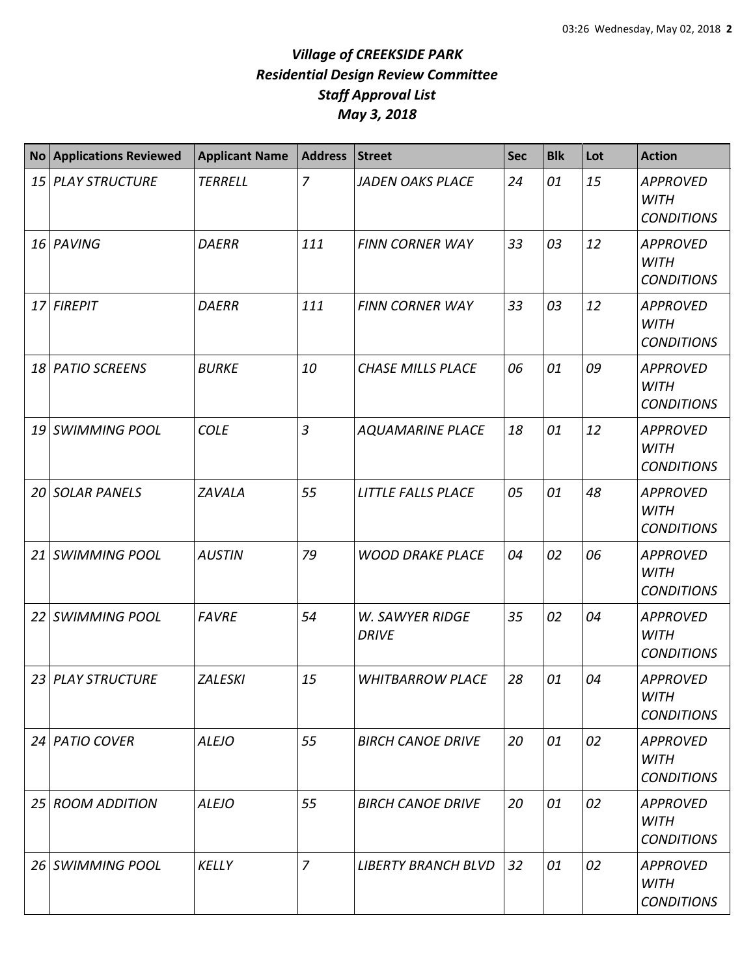|                 | No Applications Reviewed | <b>Applicant Name</b> | <b>Address</b> | <b>Street</b>                          | <b>Sec</b> | <b>Blk</b> | Lot | <b>Action</b>                                       |
|-----------------|--------------------------|-----------------------|----------------|----------------------------------------|------------|------------|-----|-----------------------------------------------------|
| 15 <sup>1</sup> | <b>PLAY STRUCTURE</b>    | <b>TERRELL</b>        | $\overline{7}$ | <b>JADEN OAKS PLACE</b>                | 24         | 01         | 15  | <b>APPROVED</b><br><b>WITH</b><br><b>CONDITIONS</b> |
|                 | 16 PAVING                | <b>DAERR</b>          | 111            | <b>FINN CORNER WAY</b>                 | 33         | 03         | 12  | <b>APPROVED</b><br><b>WITH</b><br><b>CONDITIONS</b> |
|                 | 17 FIREPIT               | <b>DAERR</b>          | 111            | <b>FINN CORNER WAY</b>                 | 33         | 03         | 12  | <b>APPROVED</b><br><b>WITH</b><br><b>CONDITIONS</b> |
| 18              | <b>PATIO SCREENS</b>     | <b>BURKE</b>          | 10             | <b>CHASE MILLS PLACE</b>               | 06         | 01         | 09  | <b>APPROVED</b><br><b>WITH</b><br><b>CONDITIONS</b> |
|                 | 19 SWIMMING POOL         | <b>COLE</b>           | $\overline{3}$ | <b>AQUAMARINE PLACE</b>                | 18         | 01         | 12  | <b>APPROVED</b><br><b>WITH</b><br><b>CONDITIONS</b> |
| 20              | <b>SOLAR PANELS</b>      | <b>ZAVALA</b>         | 55             | LITTLE FALLS PLACE                     | 05         | 01         | 48  | <b>APPROVED</b><br><b>WITH</b><br><b>CONDITIONS</b> |
| 21              | <b>SWIMMING POOL</b>     | <b>AUSTIN</b>         | 79             | <b>WOOD DRAKE PLACE</b>                | 04         | 02         | 06  | <b>APPROVED</b><br><b>WITH</b><br><b>CONDITIONS</b> |
| 22              | <b>SWIMMING POOL</b>     | <b>FAVRE</b>          | 54             | <b>W. SAWYER RIDGE</b><br><b>DRIVE</b> | 35         | 02         | 04  | <b>APPROVED</b><br><b>WITH</b><br><b>CONDITIONS</b> |
|                 | 23 PLAY STRUCTURE        | <b>ZALESKI</b>        | 15             | <b>WHITBARROW PLACE</b>                | 28         | 01         | 04  | <b>APPROVED</b><br>WITH<br><b>CONDITIONS</b>        |
|                 | 24 PATIO COVER           | <b>ALEJO</b>          | 55             | <b>BIRCH CANOE DRIVE</b>               | 20         | 01         | 02  | <b>APPROVED</b><br><b>WITH</b><br><b>CONDITIONS</b> |
| <b>25</b>       | <b>ROOM ADDITION</b>     | <b>ALEJO</b>          | 55             | <b>BIRCH CANOE DRIVE</b>               | 20         | 01         | 02  | <b>APPROVED</b><br><b>WITH</b><br><b>CONDITIONS</b> |
| 26 <sup>1</sup> | <b>SWIMMING POOL</b>     | <b>KELLY</b>          | $\overline{z}$ | <b>LIBERTY BRANCH BLVD</b>             | 32         | 01         | 02  | <b>APPROVED</b><br><b>WITH</b><br><b>CONDITIONS</b> |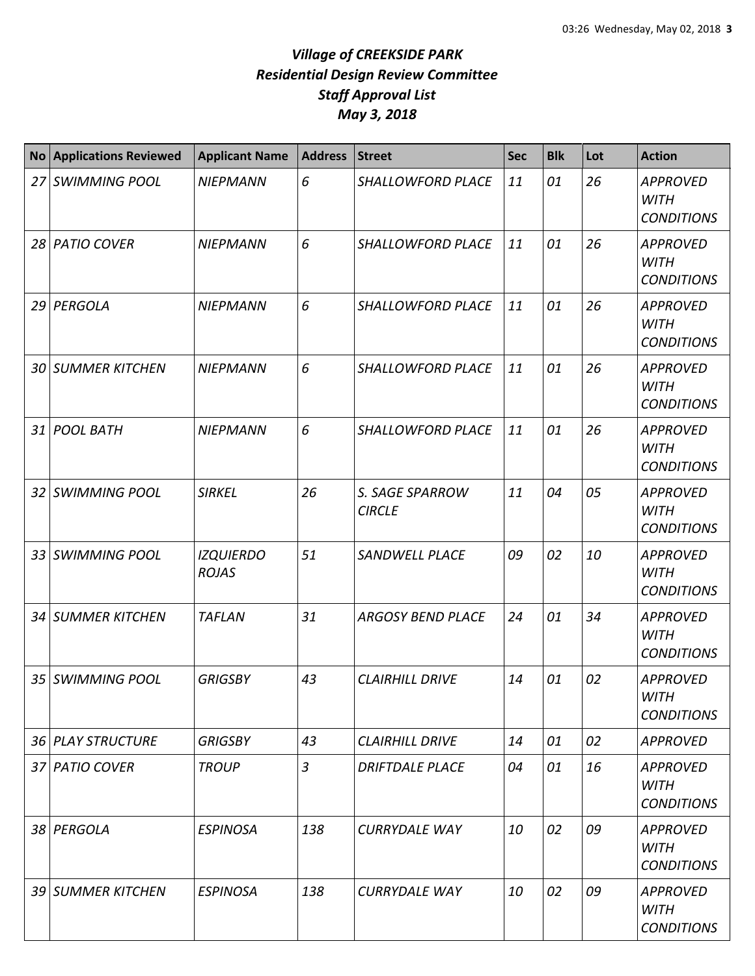| <b>No</b> | <b>Applications Reviewed</b> | <b>Applicant Name</b>            | <b>Address</b> | <b>Street</b>                    | <b>Sec</b> | <b>Blk</b> | Lot | <b>Action</b>                                       |
|-----------|------------------------------|----------------------------------|----------------|----------------------------------|------------|------------|-----|-----------------------------------------------------|
| 27        | <b>SWIMMING POOL</b>         | <b>NIEPMANN</b>                  | 6              | SHALLOWFORD PLACE                | 11         | 01         | 26  | <b>APPROVED</b><br><b>WITH</b><br><b>CONDITIONS</b> |
|           | 28 PATIO COVER               | <b>NIEPMANN</b>                  | 6              | SHALLOWFORD PLACE                | 11         | 01         | 26  | <b>APPROVED</b><br><b>WITH</b><br><b>CONDITIONS</b> |
| 29        | PERGOLA                      | <b>NIEPMANN</b>                  | 6              | <b>SHALLOWFORD PLACE</b>         | 11         | 01         | 26  | <b>APPROVED</b><br><b>WITH</b><br><b>CONDITIONS</b> |
| 30 I      | <b>SUMMER KITCHEN</b>        | <b>NIEPMANN</b>                  | 6              | SHALLOWFORD PLACE                | 11         | 01         | 26  | <b>APPROVED</b><br><b>WITH</b><br><b>CONDITIONS</b> |
| 31        | <b>POOL BATH</b>             | <b>NIEPMANN</b>                  | 6              | SHALLOWFORD PLACE                | 11         | 01         | 26  | <b>APPROVED</b><br><b>WITH</b><br><b>CONDITIONS</b> |
| 32        | <b>SWIMMING POOL</b>         | <b>SIRKEL</b>                    | 26             | S. SAGE SPARROW<br><b>CIRCLE</b> | 11         | 04         | 05  | <b>APPROVED</b><br><b>WITH</b><br><b>CONDITIONS</b> |
| 33        | <b>SWIMMING POOL</b>         | <b>IZQUIERDO</b><br><b>ROJAS</b> | 51             | <b>SANDWELL PLACE</b>            | 09         | 02         | 10  | <b>APPROVED</b><br><b>WITH</b><br><b>CONDITIONS</b> |
| 34        | <b>SUMMER KITCHEN</b>        | <b>TAFLAN</b>                    | 31             | <b>ARGOSY BEND PLACE</b>         | 24         | 01         | 34  | <b>APPROVED</b><br><b>WITH</b><br><b>CONDITIONS</b> |
| 35        | <b>SWIMMING POOL</b>         | <b>GRIGSBY</b>                   | 43             | <b>CLAIRHILL DRIVE</b>           | 14         | 01         | 02  | <b>APPROVED</b><br>WITH<br><b>CONDITIONS</b>        |
|           | 36 PLAY STRUCTURE            | <b>GRIGSBY</b>                   | 43             | <b>CLAIRHILL DRIVE</b>           | 14         | 01         | 02  | <b>APPROVED</b>                                     |
|           | 37 PATIO COVER               | <b>TROUP</b>                     | $\overline{3}$ | <b>DRIFTDALE PLACE</b>           | 04         | 01         | 16  | <b>APPROVED</b><br><b>WITH</b><br><b>CONDITIONS</b> |
|           | 38 PERGOLA                   | <b>ESPINOSA</b>                  | 138            | <b>CURRYDALE WAY</b>             | 10         | 02         | 09  | <b>APPROVED</b><br>WITH<br><b>CONDITIONS</b>        |
| 39 I      | <b>SUMMER KITCHEN</b>        | <b>ESPINOSA</b>                  | 138            | <b>CURRYDALE WAY</b>             | 10         | 02         | 09  | <b>APPROVED</b><br><b>WITH</b><br><b>CONDITIONS</b> |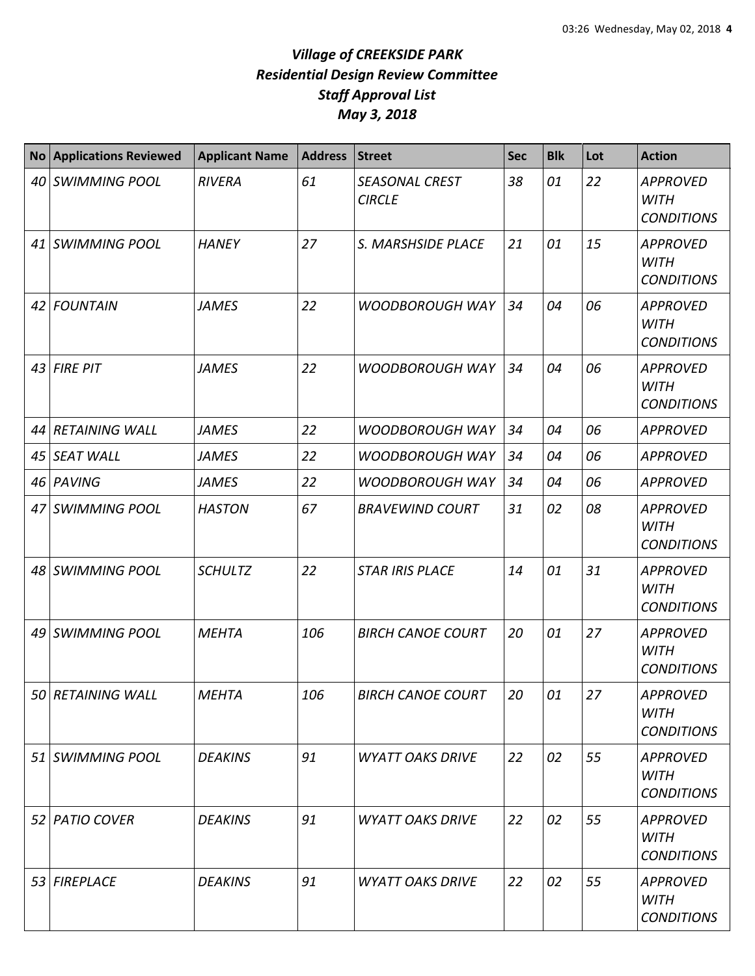| <b>No</b> | <b>Applications Reviewed</b> | <b>Applicant Name</b> | <b>Address</b> | <b>Street</b>                   | <b>Sec</b> | <b>Blk</b> | Lot | <b>Action</b>                                       |
|-----------|------------------------------|-----------------------|----------------|---------------------------------|------------|------------|-----|-----------------------------------------------------|
|           | 40 SWIMMING POOL             | <b>RIVERA</b>         | 61             | SEASONAL CREST<br><b>CIRCLE</b> | 38         | 01         | 22  | <b>APPROVED</b><br><b>WITH</b><br><b>CONDITIONS</b> |
|           | 41 SWIMMING POOL             | <b>HANEY</b>          | 27             | S. MARSHSIDE PLACE              | 21         | 01         | 15  | <b>APPROVED</b><br><b>WITH</b><br><b>CONDITIONS</b> |
|           | 42 FOUNTAIN                  | <b>JAMES</b>          | 22             | <b>WOODBOROUGH WAY</b>          | 34         | 04         | 06  | <b>APPROVED</b><br><b>WITH</b><br><b>CONDITIONS</b> |
|           | 43 FIRE PIT                  | <b>JAMES</b>          | 22             | <b>WOODBOROUGH WAY</b>          | 34         | 04         | 06  | <b>APPROVED</b><br><b>WITH</b><br><b>CONDITIONS</b> |
|           | 44 RETAINING WALL            | <b>JAMES</b>          | 22             | <b>WOODBOROUGH WAY</b>          | 34         | 04         | 06  | <b>APPROVED</b>                                     |
|           | 45 SEAT WALL                 | <b>JAMES</b>          | 22             | <b>WOODBOROUGH WAY</b>          | 34         | 04         | 06  | <b>APPROVED</b>                                     |
|           | 46 PAVING                    | <b>JAMES</b>          | 22             | <b>WOODBOROUGH WAY</b>          | 34         | 04         | 06  | <b>APPROVED</b>                                     |
|           | 47 SWIMMING POOL             | <b>HASTON</b>         | 67             | <b>BRAVEWIND COURT</b>          | 31         | 02         | 08  | <b>APPROVED</b><br><b>WITH</b><br><b>CONDITIONS</b> |
|           | 48 SWIMMING POOL             | <b>SCHULTZ</b>        | 22             | <b>STAR IRIS PLACE</b>          | 14         | 01         | 31  | <b>APPROVED</b><br><b>WITH</b><br><b>CONDITIONS</b> |
|           | 49 SWIMMING POOL             | <b>MEHTA</b>          | 106            | <b>BIRCH CANOE COURT</b>        | 20         | 01         | 27  | <b>APPROVED</b><br><b>WITH</b><br><b>CONDITIONS</b> |
|           | 50 RETAINING WALL            | <b>MEHTA</b>          | 106            | <b>BIRCH CANOE COURT</b>        | 20         | 01         | 27  | <b>APPROVED</b><br><b>WITH</b><br><b>CONDITIONS</b> |
|           | 51 SWIMMING POOL             | <b>DEAKINS</b>        | 91             | <b>WYATT OAKS DRIVE</b>         | 22         | 02         | 55  | <b>APPROVED</b><br><b>WITH</b><br><b>CONDITIONS</b> |
|           | 52 PATIO COVER               | <b>DEAKINS</b>        | 91             | <b>WYATT OAKS DRIVE</b>         | 22         | 02         | 55  | <b>APPROVED</b><br><b>WITH</b><br><b>CONDITIONS</b> |
|           | 53 FIREPLACE                 | <b>DEAKINS</b>        | 91             | <b>WYATT OAKS DRIVE</b>         | 22         | 02         | 55  | <b>APPROVED</b><br>WITH<br><b>CONDITIONS</b>        |